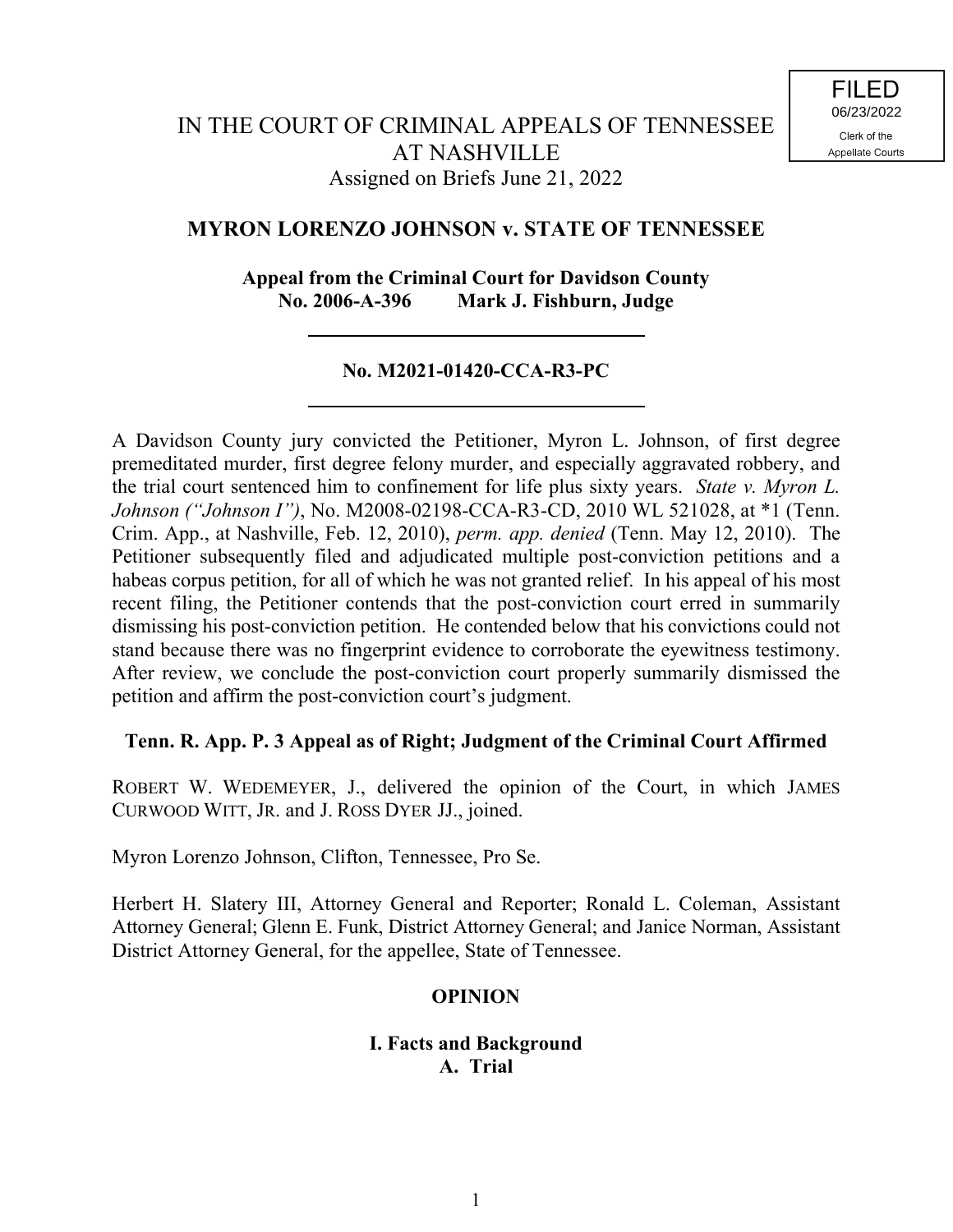# **MYRON LORENZO JOHNSON v. STATE OF TENNESSEE**

## **Appeal from the Criminal Court for Davidson County No. 2006-A-396 Mark J. Fishburn, Judge**

# **No. M2021-01420-CCA-R3-PC**

A Davidson County jury convicted the Petitioner, Myron L. Johnson, of first degree premeditated murder, first degree felony murder, and especially aggravated robbery, and the trial court sentenced him to confinement for life plus sixty years. *State v. Myron L. Johnson ("Johnson I")*, No. M2008-02198-CCA-R3-CD, 2010 WL 521028, at \*1 (Tenn. Crim. App., at Nashville, Feb. 12, 2010), *perm. app. denied* (Tenn. May 12, 2010). The Petitioner subsequently filed and adjudicated multiple post-conviction petitions and a habeas corpus petition, for all of which he was not granted relief. In his appeal of his most recent filing, the Petitioner contends that the post-conviction court erred in summarily dismissing his post-conviction petition. He contended below that his convictions could not stand because there was no fingerprint evidence to corroborate the eyewitness testimony. After review, we conclude the post-conviction court properly summarily dismissed the petition and affirm the post-conviction court's judgment.

## **Tenn. R. App. P. 3 Appeal as of Right; Judgment of the Criminal Court Affirmed**

ROBERT W. WEDEMEYER, J., delivered the opinion of the Court, in which JAMES CURWOOD WITT, JR. and J. ROSS DYER JJ., joined.

Myron Lorenzo Johnson, Clifton, Tennessee, Pro Se.

Herbert H. Slatery III, Attorney General and Reporter; Ronald L. Coleman, Assistant Attorney General; Glenn E. Funk, District Attorney General; and Janice Norman, Assistant District Attorney General, for the appellee, State of Tennessee.

## **OPINION**

## **I. Facts and Background A. Trial**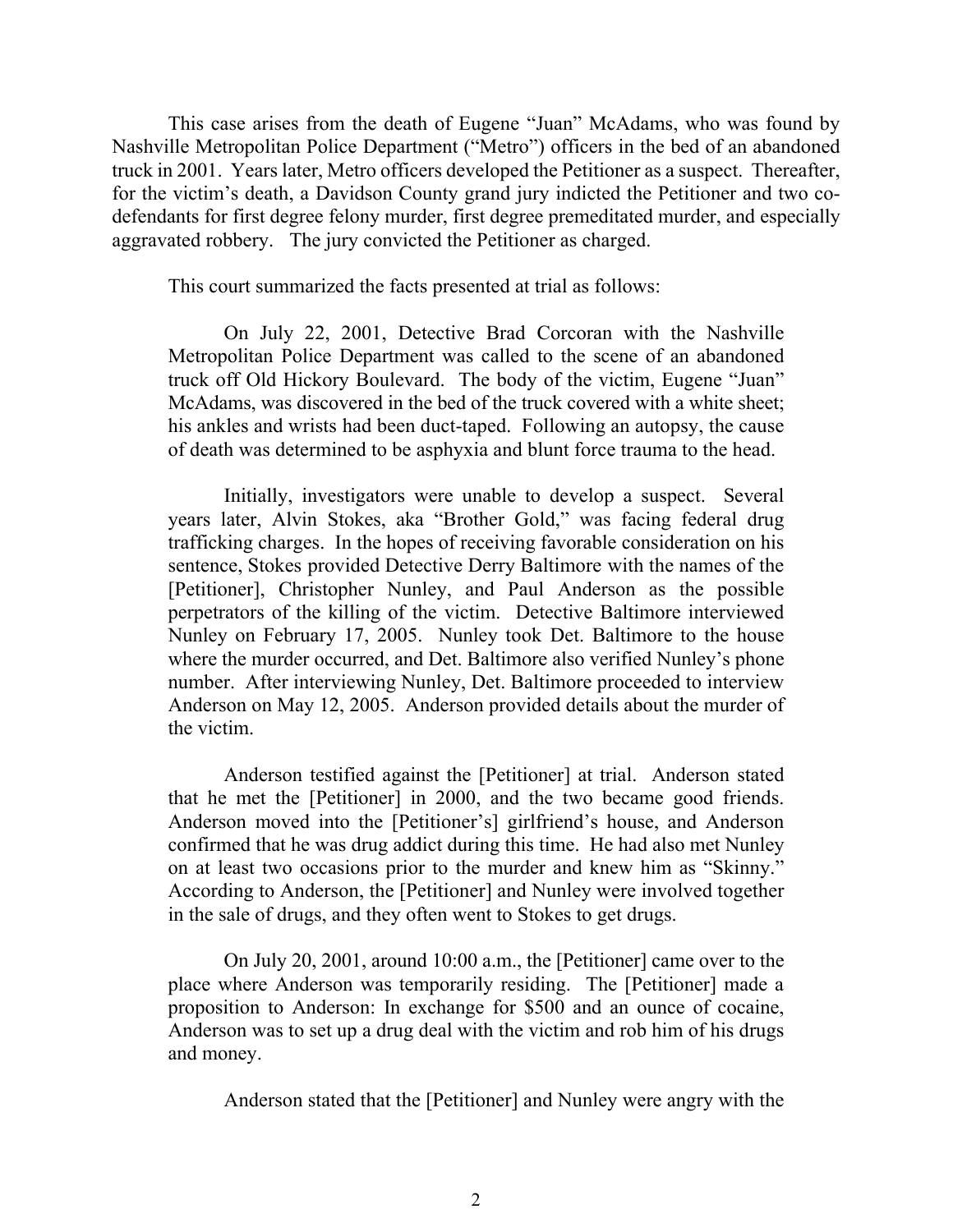This case arises from the death of Eugene "Juan" McAdams, who was found by Nashville Metropolitan Police Department ("Metro") officers in the bed of an abandoned truck in 2001. Years later, Metro officers developed the Petitioner as a suspect. Thereafter, for the victim's death, a Davidson County grand jury indicted the Petitioner and two codefendants for first degree felony murder, first degree premeditated murder, and especially aggravated robbery. The jury convicted the Petitioner as charged.

This court summarized the facts presented at trial as follows:

On July 22, 2001, Detective Brad Corcoran with the Nashville Metropolitan Police Department was called to the scene of an abandoned truck off Old Hickory Boulevard. The body of the victim, Eugene "Juan" McAdams, was discovered in the bed of the truck covered with a white sheet; his ankles and wrists had been duct-taped. Following an autopsy, the cause of death was determined to be asphyxia and blunt force trauma to the head.

Initially, investigators were unable to develop a suspect. Several years later, Alvin Stokes, aka "Brother Gold," was facing federal drug trafficking charges. In the hopes of receiving favorable consideration on his sentence, Stokes provided Detective Derry Baltimore with the names of the [Petitioner], Christopher Nunley, and Paul Anderson as the possible perpetrators of the killing of the victim. Detective Baltimore interviewed Nunley on February 17, 2005. Nunley took Det. Baltimore to the house where the murder occurred, and Det. Baltimore also verified Nunley's phone number. After interviewing Nunley, Det. Baltimore proceeded to interview Anderson on May 12, 2005. Anderson provided details about the murder of the victim.

Anderson testified against the [Petitioner] at trial. Anderson stated that he met the [Petitioner] in 2000, and the two became good friends. Anderson moved into the [Petitioner's] girlfriend's house, and Anderson confirmed that he was drug addict during this time. He had also met Nunley on at least two occasions prior to the murder and knew him as "Skinny." According to Anderson, the [Petitioner] and Nunley were involved together in the sale of drugs, and they often went to Stokes to get drugs.

On July 20, 2001, around 10:00 a.m., the [Petitioner] came over to the place where Anderson was temporarily residing. The [Petitioner] made a proposition to Anderson: In exchange for \$500 and an ounce of cocaine, Anderson was to set up a drug deal with the victim and rob him of his drugs and money.

Anderson stated that the [Petitioner] and Nunley were angry with the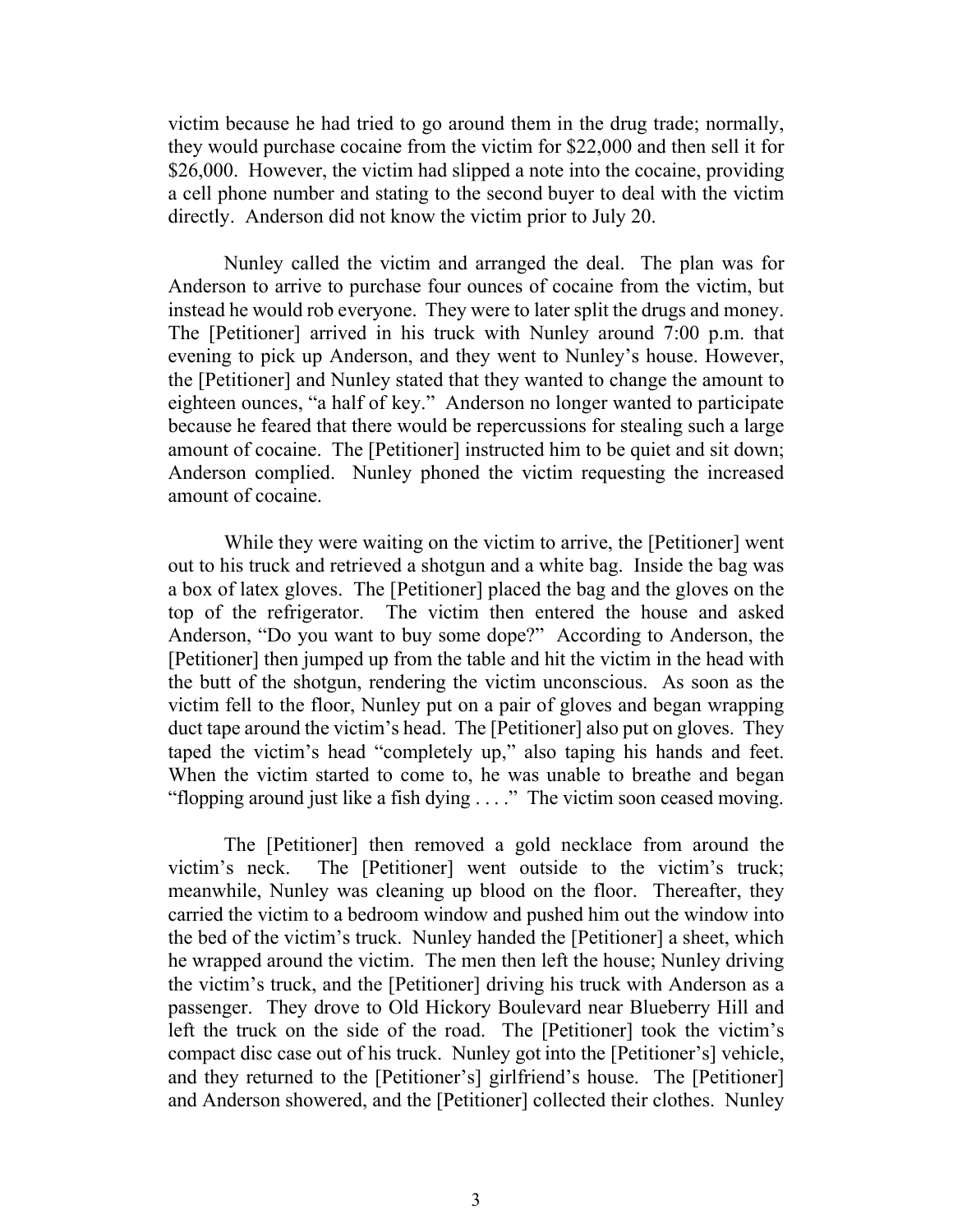victim because he had tried to go around them in the drug trade; normally, they would purchase cocaine from the victim for \$22,000 and then sell it for \$26,000. However, the victim had slipped a note into the cocaine, providing a cell phone number and stating to the second buyer to deal with the victim directly. Anderson did not know the victim prior to July 20.

Nunley called the victim and arranged the deal. The plan was for Anderson to arrive to purchase four ounces of cocaine from the victim, but instead he would rob everyone. They were to later split the drugs and money. The [Petitioner] arrived in his truck with Nunley around 7:00 p.m. that evening to pick up Anderson, and they went to Nunley's house. However, the [Petitioner] and Nunley stated that they wanted to change the amount to eighteen ounces, "a half of key." Anderson no longer wanted to participate because he feared that there would be repercussions for stealing such a large amount of cocaine. The [Petitioner] instructed him to be quiet and sit down; Anderson complied. Nunley phoned the victim requesting the increased amount of cocaine.

While they were waiting on the victim to arrive, the [Petitioner] went out to his truck and retrieved a shotgun and a white bag. Inside the bag was a box of latex gloves. The [Petitioner] placed the bag and the gloves on the top of the refrigerator. The victim then entered the house and asked Anderson, "Do you want to buy some dope?" According to Anderson, the [Petitioner] then jumped up from the table and hit the victim in the head with the butt of the shotgun, rendering the victim unconscious. As soon as the victim fell to the floor, Nunley put on a pair of gloves and began wrapping duct tape around the victim's head. The [Petitioner] also put on gloves. They taped the victim's head "completely up," also taping his hands and feet. When the victim started to come to, he was unable to breathe and began "flopping around just like a fish dying . . . ." The victim soon ceased moving.

The [Petitioner] then removed a gold necklace from around the victim's neck. The [Petitioner] went outside to the victim's truck; meanwhile, Nunley was cleaning up blood on the floor. Thereafter, they carried the victim to a bedroom window and pushed him out the window into the bed of the victim's truck. Nunley handed the [Petitioner] a sheet, which he wrapped around the victim. The men then left the house; Nunley driving the victim's truck, and the [Petitioner] driving his truck with Anderson as a passenger. They drove to Old Hickory Boulevard near Blueberry Hill and left the truck on the side of the road. The [Petitioner] took the victim's compact disc case out of his truck. Nunley got into the [Petitioner's] vehicle, and they returned to the [Petitioner's] girlfriend's house. The [Petitioner] and Anderson showered, and the [Petitioner] collected their clothes. Nunley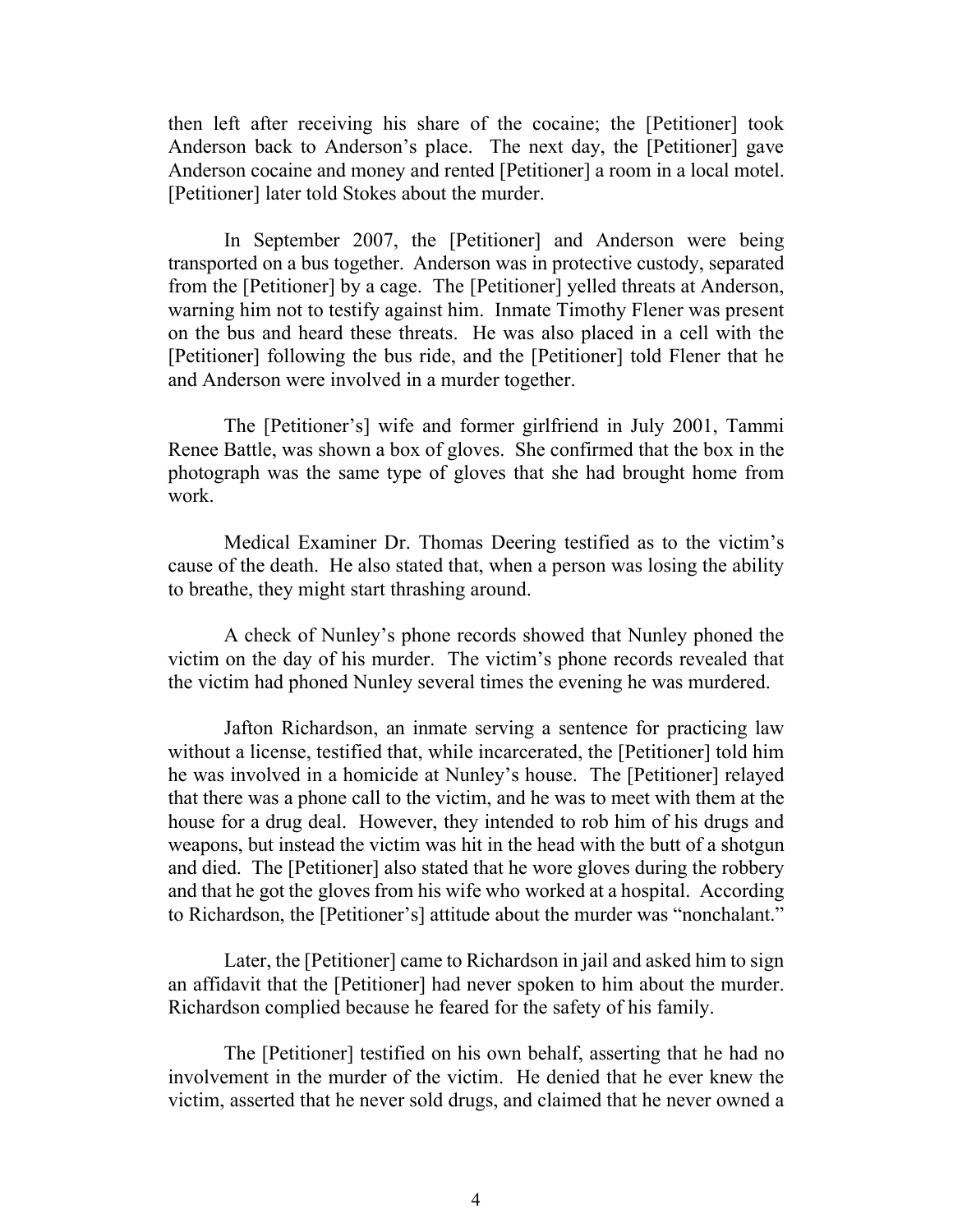then left after receiving his share of the cocaine; the [Petitioner] took Anderson back to Anderson's place. The next day, the [Petitioner] gave Anderson cocaine and money and rented [Petitioner] a room in a local motel. [Petitioner] later told Stokes about the murder.

In September 2007, the [Petitioner] and Anderson were being transported on a bus together. Anderson was in protective custody, separated from the [Petitioner] by a cage. The [Petitioner] yelled threats at Anderson, warning him not to testify against him. Inmate Timothy Flener was present on the bus and heard these threats. He was also placed in a cell with the [Petitioner] following the bus ride, and the [Petitioner] told Flener that he and Anderson were involved in a murder together.

The [Petitioner's] wife and former girlfriend in July 2001, Tammi Renee Battle, was shown a box of gloves. She confirmed that the box in the photograph was the same type of gloves that she had brought home from work.

Medical Examiner Dr. Thomas Deering testified as to the victim's cause of the death. He also stated that, when a person was losing the ability to breathe, they might start thrashing around.

A check of Nunley's phone records showed that Nunley phoned the victim on the day of his murder. The victim's phone records revealed that the victim had phoned Nunley several times the evening he was murdered.

Jafton Richardson, an inmate serving a sentence for practicing law without a license, testified that, while incarcerated, the [Petitioner] told him he was involved in a homicide at Nunley's house. The [Petitioner] relayed that there was a phone call to the victim, and he was to meet with them at the house for a drug deal. However, they intended to rob him of his drugs and weapons, but instead the victim was hit in the head with the butt of a shotgun and died. The [Petitioner] also stated that he wore gloves during the robbery and that he got the gloves from his wife who worked at a hospital. According to Richardson, the [Petitioner's] attitude about the murder was "nonchalant."

Later, the [Petitioner] came to Richardson in jail and asked him to sign an affidavit that the [Petitioner] had never spoken to him about the murder. Richardson complied because he feared for the safety of his family.

The [Petitioner] testified on his own behalf, asserting that he had no involvement in the murder of the victim. He denied that he ever knew the victim, asserted that he never sold drugs, and claimed that he never owned a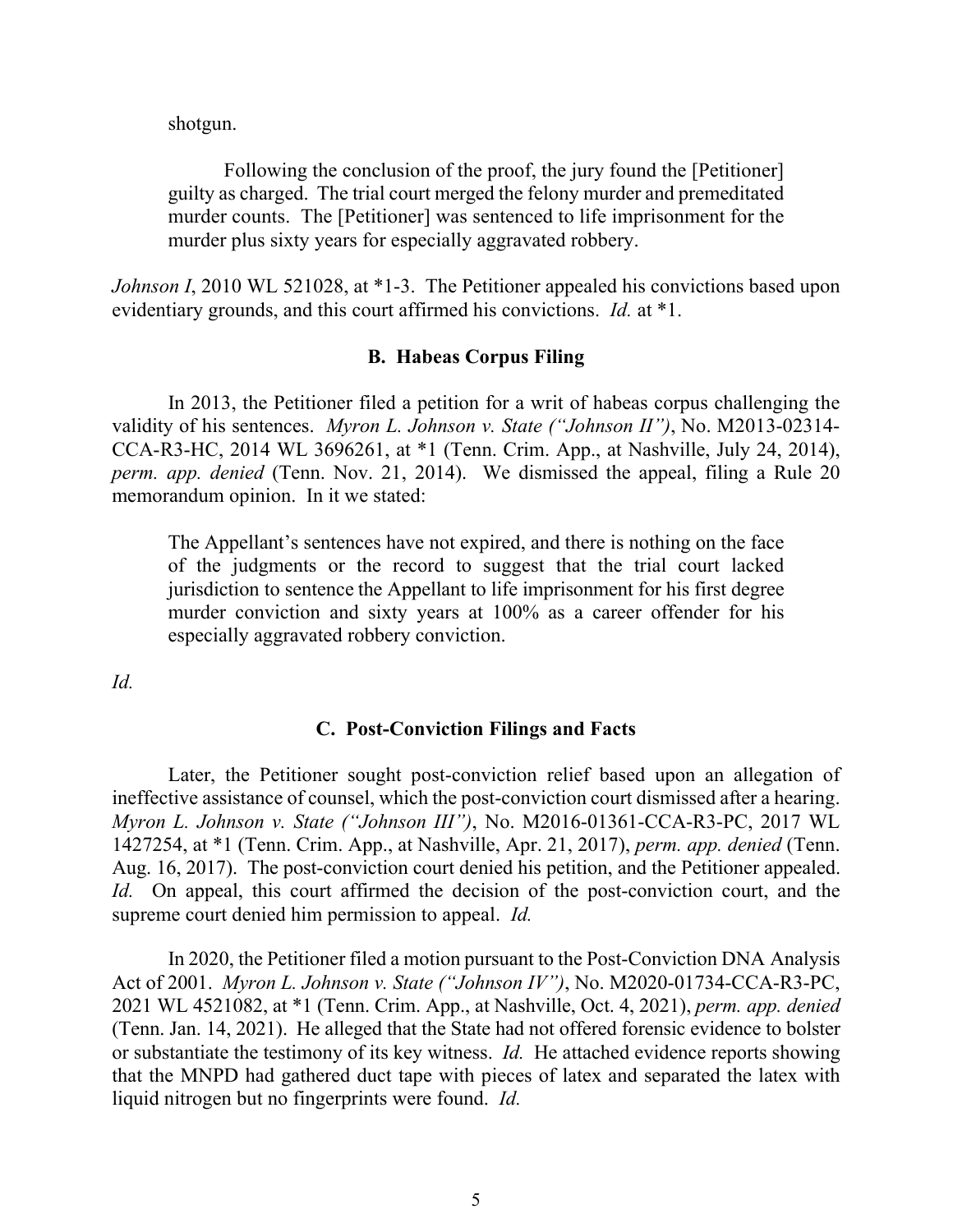shotgun.

Following the conclusion of the proof, the jury found the [Petitioner] guilty as charged. The trial court merged the felony murder and premeditated murder counts. The [Petitioner] was sentenced to life imprisonment for the murder plus sixty years for especially aggravated robbery.

*Johnson I*, 2010 WL 521028, at \*1-3. The Petitioner appealed his convictions based upon evidentiary grounds, and this court affirmed his convictions. *Id.* at \*1.

#### **B. Habeas Corpus Filing**

In 2013, the Petitioner filed a petition for a writ of habeas corpus challenging the validity of his sentences. *Myron L. Johnson v. State ("Johnson II")*, No. M2013-02314- CCA-R3-HC, 2014 WL 3696261, at \*1 (Tenn. Crim. App., at Nashville, July 24, 2014), *perm. app. denied* (Tenn. Nov. 21, 2014). We dismissed the appeal, filing a Rule 20 memorandum opinion. In it we stated:

The Appellant's sentences have not expired, and there is nothing on the face of the judgments or the record to suggest that the trial court lacked jurisdiction to sentence the Appellant to life imprisonment for his first degree murder conviction and sixty years at 100% as a career offender for his especially aggravated robbery conviction.

*Id.*

#### **C. Post-Conviction Filings and Facts**

Later, the Petitioner sought post-conviction relief based upon an allegation of ineffective assistance of counsel, which the post-conviction court dismissed after a hearing. *Myron L. Johnson v. State ("Johnson III")*, No. M2016-01361-CCA-R3-PC, 2017 WL 1427254, at \*1 (Tenn. Crim. App., at Nashville, Apr. 21, 2017), *perm. app. denied* (Tenn. Aug. 16, 2017). The post-conviction court denied his petition, and the Petitioner appealed. *Id.* On appeal, this court affirmed the decision of the post-conviction court, and the supreme court denied him permission to appeal. *Id.*

In 2020, the Petitioner filed a motion pursuant to the Post-Conviction DNA Analysis Act of 2001. *Myron L. Johnson v. State ("Johnson IV")*, No. M2020-01734-CCA-R3-PC, 2021 WL 4521082, at \*1 (Tenn. Crim. App., at Nashville, Oct. 4, 2021), *perm. app. denied*  (Tenn. Jan. 14, 2021). He alleged that the State had not offered forensic evidence to bolster or substantiate the testimony of its key witness. *Id.* He attached evidence reports showing that the MNPD had gathered duct tape with pieces of latex and separated the latex with liquid nitrogen but no fingerprints were found. *Id.*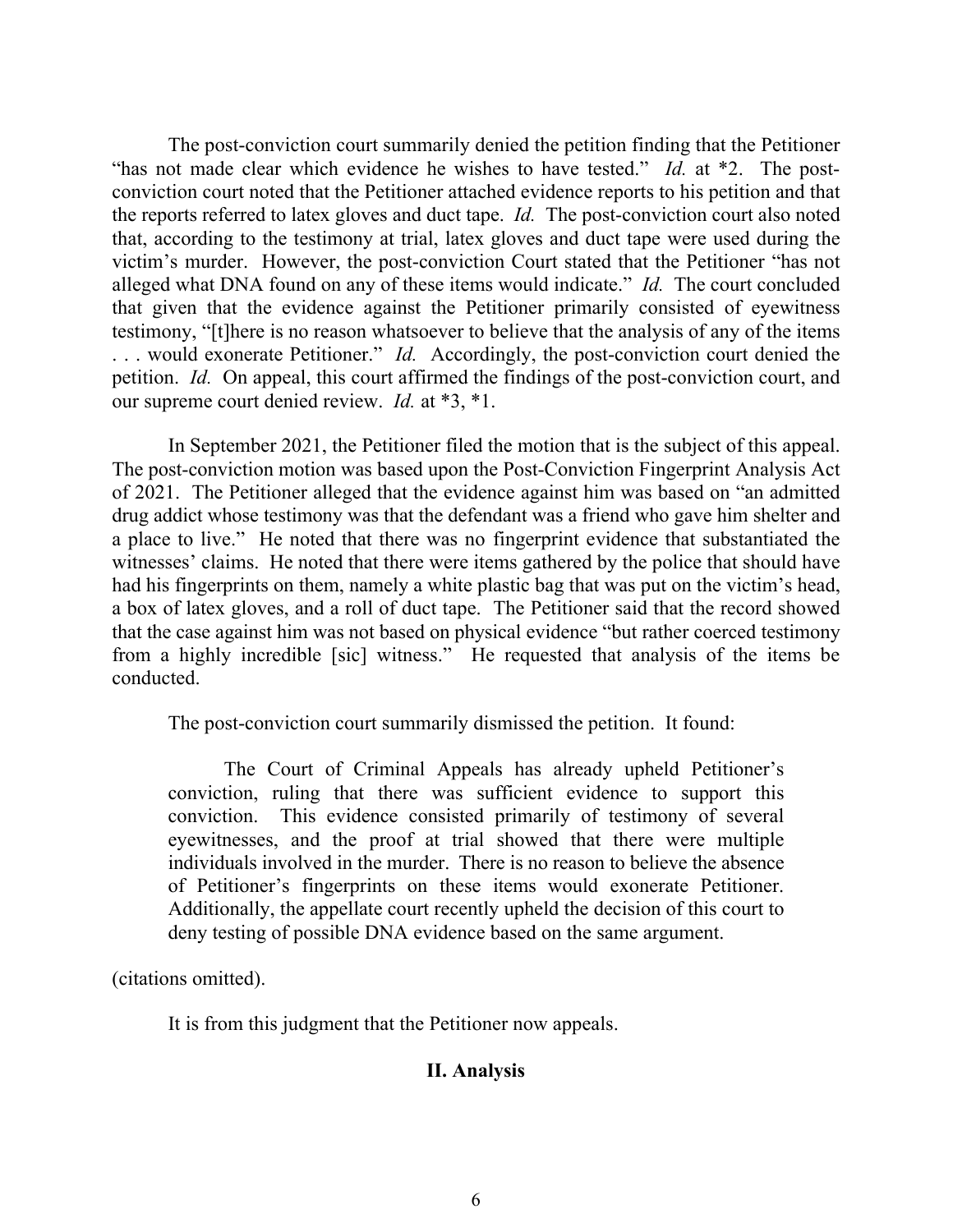The post-conviction court summarily denied the petition finding that the Petitioner "has not made clear which evidence he wishes to have tested." *Id.* at \*2. The postconviction court noted that the Petitioner attached evidence reports to his petition and that the reports referred to latex gloves and duct tape. *Id.* The post-conviction court also noted that, according to the testimony at trial, latex gloves and duct tape were used during the victim's murder. However, the post-conviction Court stated that the Petitioner "has not alleged what DNA found on any of these items would indicate." *Id.* The court concluded that given that the evidence against the Petitioner primarily consisted of eyewitness testimony, "[t]here is no reason whatsoever to believe that the analysis of any of the items . . . would exonerate Petitioner." *Id.* Accordingly, the post-conviction court denied the petition. *Id.* On appeal, this court affirmed the findings of the post-conviction court, and our supreme court denied review. *Id.* at \*3, \*1.

In September 2021, the Petitioner filed the motion that is the subject of this appeal. The post-conviction motion was based upon the Post-Conviction Fingerprint Analysis Act of 2021. The Petitioner alleged that the evidence against him was based on "an admitted drug addict whose testimony was that the defendant was a friend who gave him shelter and a place to live." He noted that there was no fingerprint evidence that substantiated the witnesses' claims. He noted that there were items gathered by the police that should have had his fingerprints on them, namely a white plastic bag that was put on the victim's head, a box of latex gloves, and a roll of duct tape. The Petitioner said that the record showed that the case against him was not based on physical evidence "but rather coerced testimony from a highly incredible [sic] witness." He requested that analysis of the items be conducted.

The post-conviction court summarily dismissed the petition. It found:

The Court of Criminal Appeals has already upheld Petitioner's conviction, ruling that there was sufficient evidence to support this conviction. This evidence consisted primarily of testimony of several eyewitnesses, and the proof at trial showed that there were multiple individuals involved in the murder. There is no reason to believe the absence of Petitioner's fingerprints on these items would exonerate Petitioner. Additionally, the appellate court recently upheld the decision of this court to deny testing of possible DNA evidence based on the same argument.

(citations omitted).

It is from this judgment that the Petitioner now appeals.

#### **II. Analysis**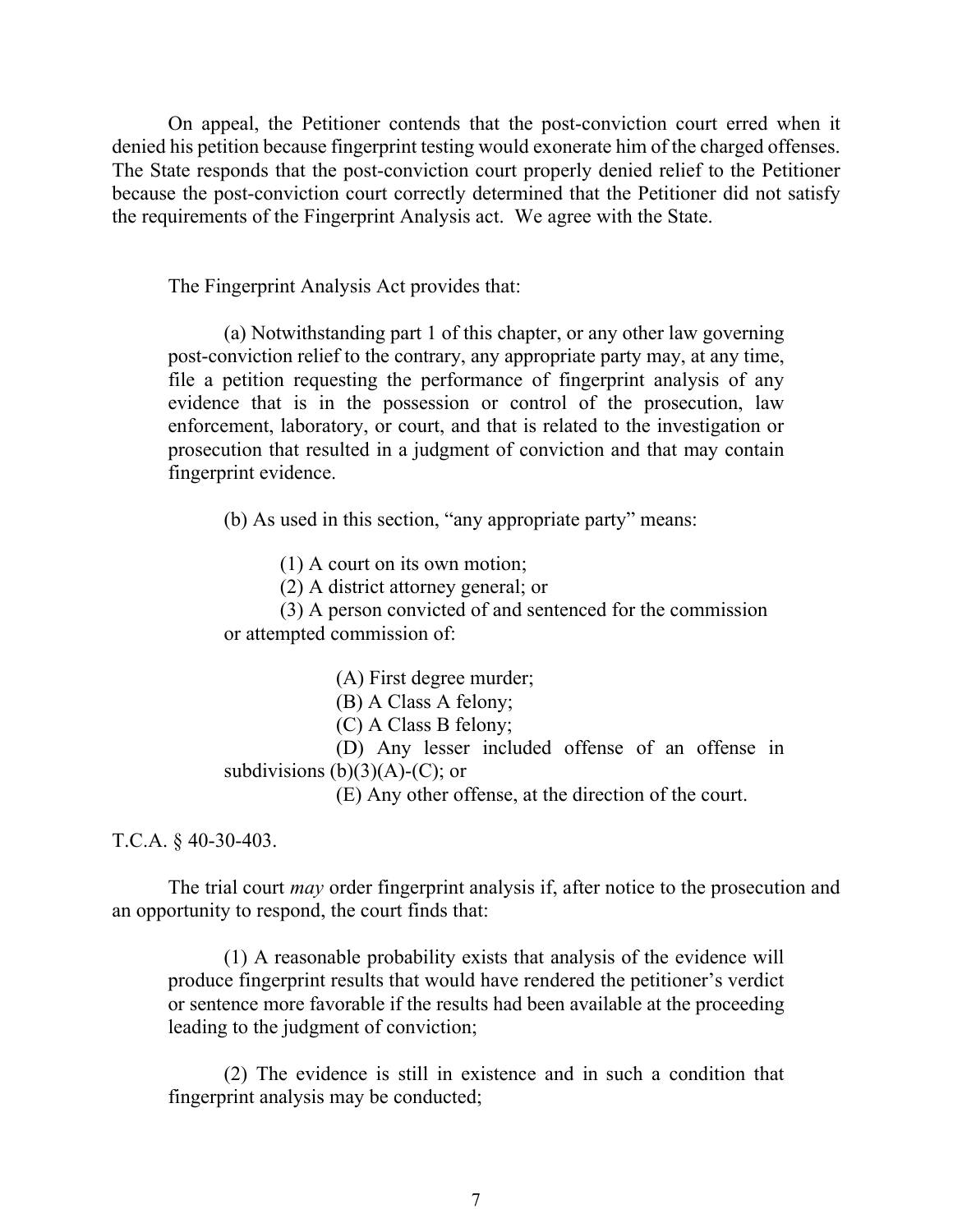On appeal, the Petitioner contends that the post-conviction court erred when it denied his petition because fingerprint testing would exonerate him of the charged offenses. The State responds that the post-conviction court properly denied relief to the Petitioner because the post-conviction court correctly determined that the Petitioner did not satisfy the requirements of the Fingerprint Analysis act. We agree with the State.

The Fingerprint Analysis Act provides that:

(a) Notwithstanding part 1 of this chapter, or any other law governing post-conviction relief to the contrary, any appropriate party may, at any time, file a petition requesting the performance of fingerprint analysis of any evidence that is in the possession or control of the prosecution, law enforcement, laboratory, or court, and that is related to the investigation or prosecution that resulted in a judgment of conviction and that may contain fingerprint evidence.

(b) As used in this section, "any appropriate party" means:

(1) A court on its own motion;

(2) A district attorney general; or

(3) A person convicted of and sentenced for the commission or attempted commission of:

(A) First degree murder;

(B) A Class A felony;

(C) A Class B felony;

(D) Any lesser included offense of an offense in subdivisions  $(b)(3)(A)-(C)$ ; or

(E) Any other offense, at the direction of the court.

T.C.A. § 40-30-403.

The trial court *may* order fingerprint analysis if, after notice to the prosecution and an opportunity to respond, the court finds that:

(1) A reasonable probability exists that analysis of the evidence will produce fingerprint results that would have rendered the petitioner's verdict or sentence more favorable if the results had been available at the proceeding leading to the judgment of conviction;

(2) The evidence is still in existence and in such a condition that fingerprint analysis may be conducted;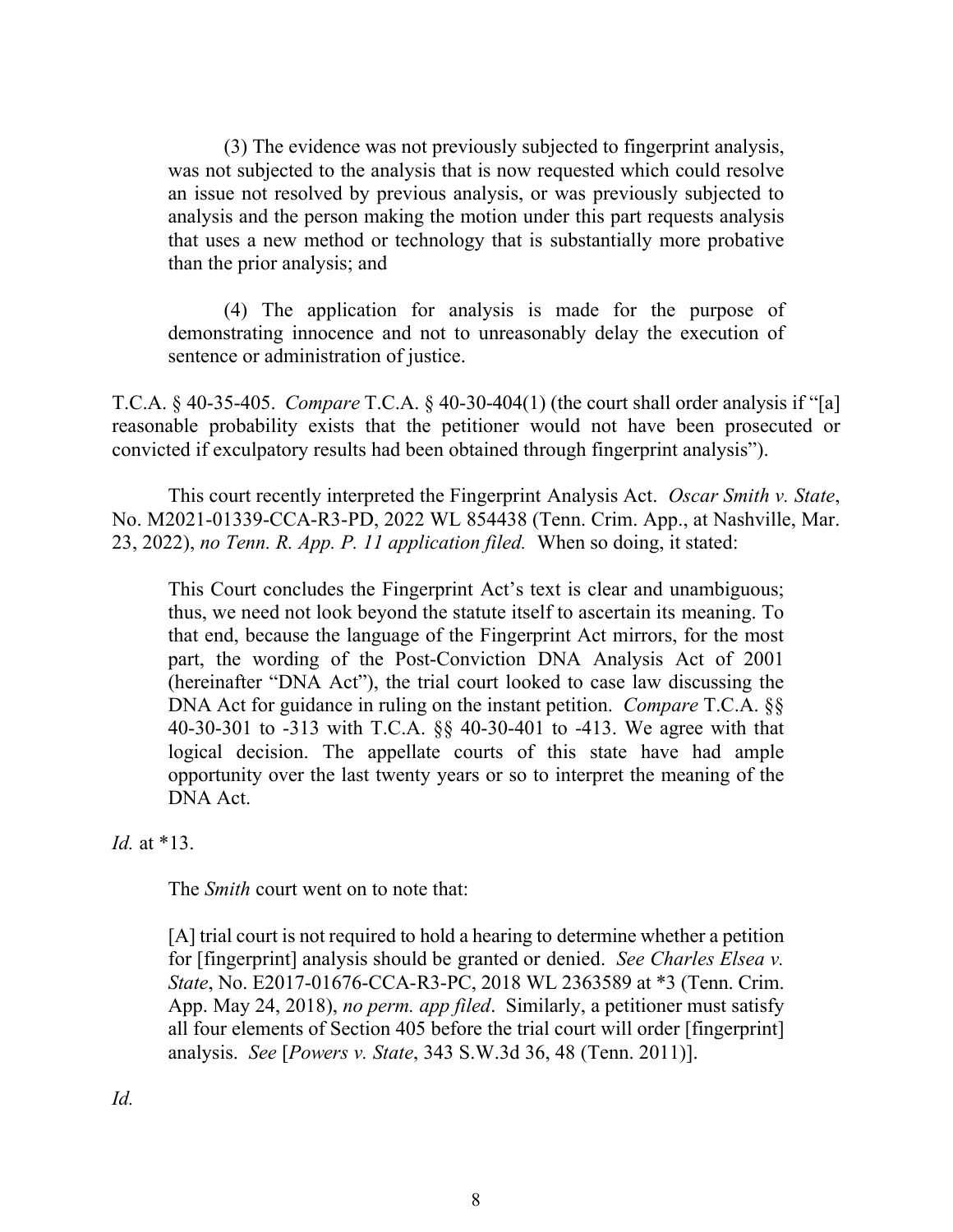(3) The evidence was not previously subjected to fingerprint analysis, was not subjected to the analysis that is now requested which could resolve an issue not resolved by previous analysis, or was previously subjected to analysis and the person making the motion under this part requests analysis that uses a new method or technology that is substantially more probative than the prior analysis; and

(4) The application for analysis is made for the purpose of demonstrating innocence and not to unreasonably delay the execution of sentence or administration of justice.

T.C.A. § 40-35-405. *Compare* T.C.A. § 40-30-404(1) (the court shall order analysis if "[a] reasonable probability exists that the petitioner would not have been prosecuted or convicted if exculpatory results had been obtained through fingerprint analysis").

This court recently interpreted the Fingerprint Analysis Act. *Oscar Smith v. State*, No. M2021-01339-CCA-R3-PD, 2022 WL 854438 (Tenn. Crim. App., at Nashville, Mar. 23, 2022), *no Tenn. R. App. P. 11 application filed.* When so doing, it stated:

This Court concludes the Fingerprint Act's text is clear and unambiguous; thus, we need not look beyond the statute itself to ascertain its meaning. To that end, because the language of the Fingerprint Act mirrors, for the most part, the wording of the Post-Conviction DNA Analysis Act of 2001 (hereinafter "DNA Act"), the trial court looked to case law discussing the DNA Act for guidance in ruling on the instant petition. *Compare* T.C.A. §§ 40-30-301 to -313 with T.C.A. §§ 40-30-401 to -413. We agree with that logical decision. The appellate courts of this state have had ample opportunity over the last twenty years or so to interpret the meaning of the DNA Act.

*Id.* at \*13.

The *Smith* court went on to note that:

[A] trial court is not required to hold a hearing to determine whether a petition for [fingerprint] analysis should be granted or denied. *See Charles Elsea v. State*, No. E2017-01676-CCA-R3-PC, 2018 WL 2363589 at \*3 (Tenn. Crim. App. May 24, 2018), *no perm. app filed*. Similarly, a petitioner must satisfy all four elements of Section 405 before the trial court will order [fingerprint] analysis. *See* [*Powers v. State*, 343 S.W.3d 36, 48 (Tenn. 2011)].